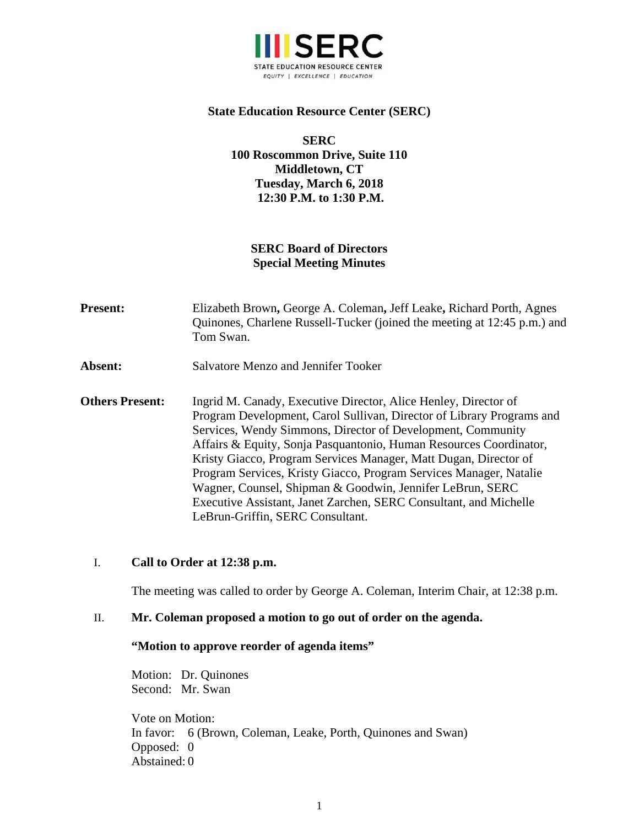

### **State Education Resource Center (SERC)**

**SERC 100 Roscommon Drive, Suite 110 Middletown, CT Tuesday, March 6, 2018 12:30 P.M. to 1:30 P.M.** 

# **SERC Board of Directors Special Meeting Minutes**

- **Present:** Elizabeth Brown**,** George A. Coleman**,** Jeff Leake**,** Richard Porth, Agnes Quinones, Charlene Russell-Tucker (joined the meeting at 12:45 p.m.) and Tom Swan.
- **Absent:** Salvatore Menzo and Jennifer Tooker
- **Others Present:** Ingrid M. Canady, Executive Director, Alice Henley, Director of Program Development, Carol Sullivan, Director of Library Programs and Services, Wendy Simmons, Director of Development, Community Affairs & Equity, Sonja Pasquantonio, Human Resources Coordinator, Kristy Giacco, Program Services Manager, Matt Dugan, Director of Program Services, Kristy Giacco, Program Services Manager, Natalie Wagner, Counsel, Shipman & Goodwin, Jennifer LeBrun, SERC Executive Assistant, Janet Zarchen, SERC Consultant, and Michelle LeBrun-Griffin, SERC Consultant.

#### I. **Call to Order at 12:38 p.m.**

The meeting was called to order by George A. Coleman, Interim Chair, at 12:38 p.m.

#### II. **Mr. Coleman proposed a motion to go out of order on the agenda.**

#### **"Motion to approve reorder of agenda items"**

Motion: Dr. Quinones Second: Mr. Swan

Vote on Motion: In favor: 6 (Brown, Coleman, Leake, Porth, Quinones and Swan) Opposed: 0 Abstained: 0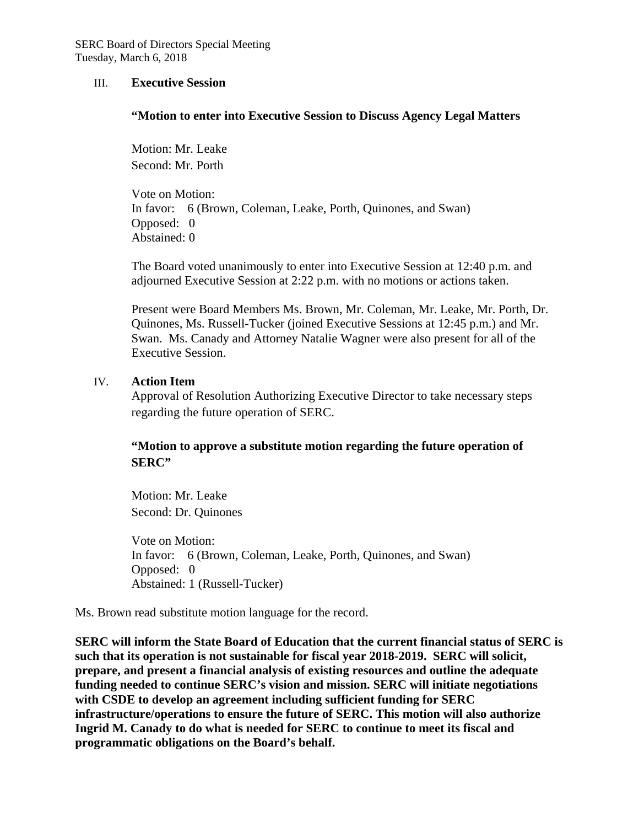#### III. **Executive Session**

#### **"Motion to enter into Executive Session to Discuss Agency Legal Matters**

Motion: Mr. Leake Second: Mr. Porth

Vote on Motion: In favor: 6 (Brown, Coleman, Leake, Porth, Quinones, and Swan) Opposed: 0 Abstained: 0

The Board voted unanimously to enter into Executive Session at 12:40 p.m. and adjourned Executive Session at 2:22 p.m. with no motions or actions taken.

Present were Board Members Ms. Brown, Mr. Coleman, Mr. Leake, Mr. Porth, Dr. Quinones, Ms. Russell-Tucker (joined Executive Sessions at 12:45 p.m.) and Mr. Swan. Ms. Canady and Attorney Natalie Wagner were also present for all of the Executive Session.

#### IV. **Action Item**

Approval of Resolution Authorizing Executive Director to take necessary steps regarding the future operation of SERC.

## **"Motion to approve a substitute motion regarding the future operation of SERC"**

Motion: Mr. Leake Second: Dr. Quinones

Vote on Motion: In favor: 6 (Brown, Coleman, Leake, Porth, Quinones, and Swan) Opposed: 0 Abstained: 1 (Russell-Tucker)

Ms. Brown read substitute motion language for the record.

**SERC will inform the State Board of Education that the current financial status of SERC is such that its operation is not sustainable for fiscal year 2018-2019. SERC will solicit, prepare, and present a financial analysis of existing resources and outline the adequate funding needed to continue SERC's vision and mission. SERC will initiate negotiations with CSDE to develop an agreement including sufficient funding for SERC infrastructure/operations to ensure the future of SERC. This motion will also authorize Ingrid M. Canady to do what is needed for SERC to continue to meet its fiscal and programmatic obligations on the Board's behalf.**